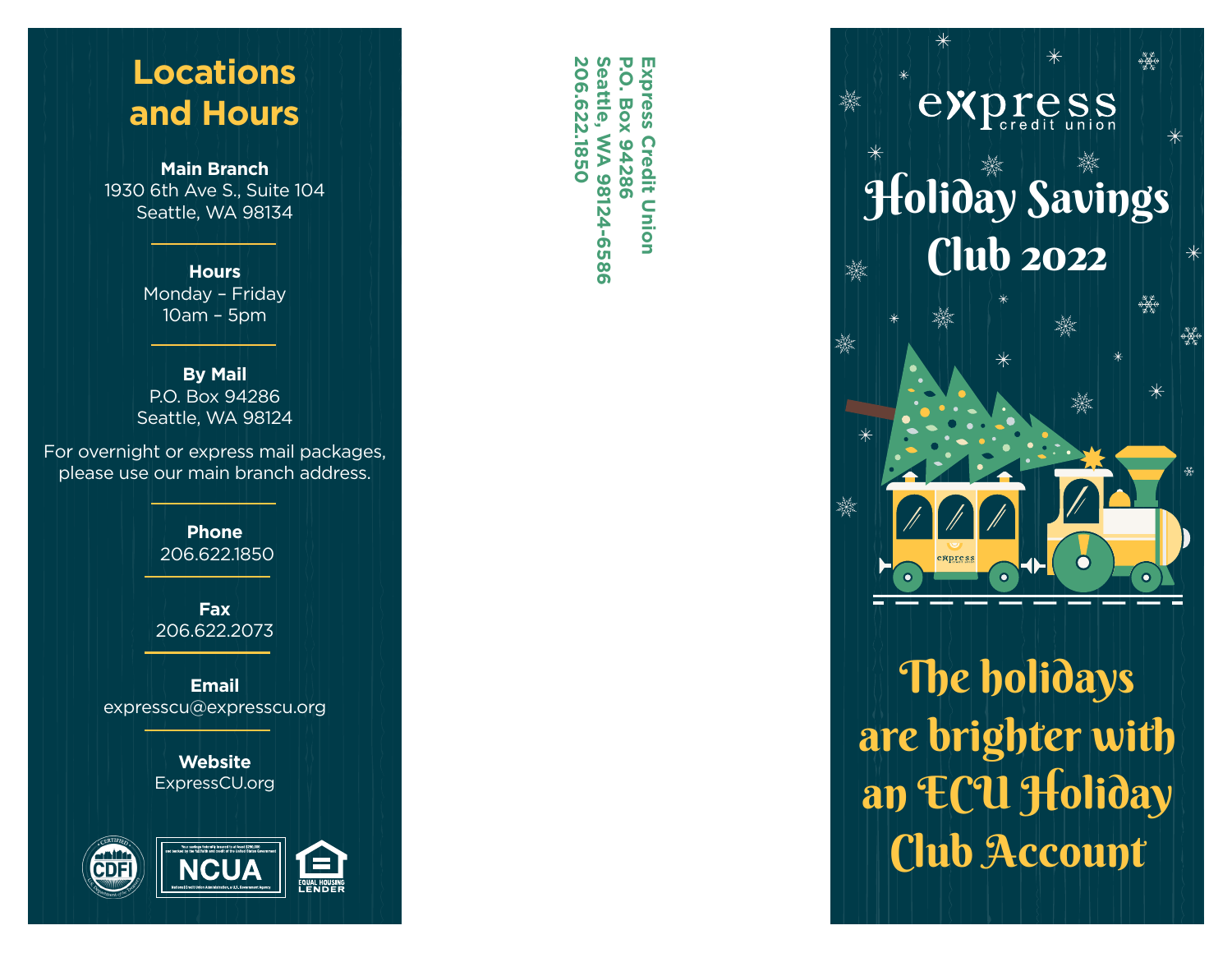## **Locations and Hours**

**Main Branch** 1930 6th Ave S., Suite 104 Seattle, WA 98134

> **Hours** Monday – Friday 10am – 5pm

**By Mail** P.O. Box 94286 Seattle, WA 98124

For overnight or express mail packages, please use our main branch address.

> **Phone** 206.622.1850

**Fax** 206.622.2073

**Email** expresscu@expresscu.org

> **Website** ExpressCU.org



**206.622.1850 Seattle, WA 98124-6586**  $\mathbf \sigma$ 206.622.1850 Seattle, **P.O. Box 94286 Express Credit Union**  $\overline{O}$ xpress **Box 94286** WA 98124-6586 **Credit Union** 



The holidays are brighter with an ECU Holiday Club Account